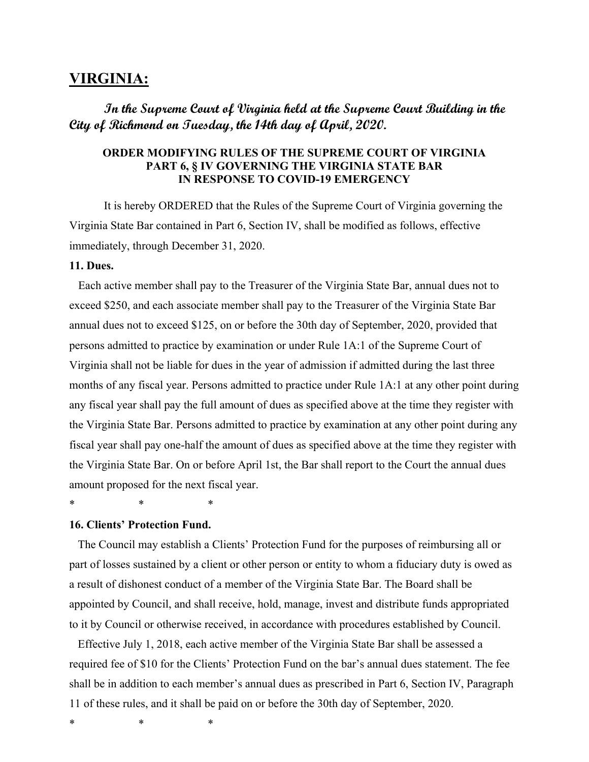# **VIRGINIA:**

# **In the Supreme Court of Virginia held at the Supreme Court Building in the City of Richmond on Tuesday, the 14th day of April, 2020.**

## **ORDER MODIFYING RULES OF THE SUPREME COURT OF VIRGINIA PART 6, § IV GOVERNING THE VIRGINIA STATE BAR IN RESPONSE TO COVID-19 EMERGENCY**

It is hereby ORDERED that the Rules of the Supreme Court of Virginia governing the Virginia State Bar contained in Part 6, Section IV, shall be modified as follows, effective immediately, through December 31, 2020.

### **11. Dues.**

Each active member shall pay to the Treasurer of the Virginia State Bar, annual dues not to exceed \$250, and each associate member shall pay to the Treasurer of the Virginia State Bar annual dues not to exceed \$125, on or before the 30th day of September, 2020, provided that persons admitted to practice by examination or under Rule 1A:1 of the Supreme Court of Virginia shall not be liable for dues in the year of admission if admitted during the last three months of any fiscal year. Persons admitted to practice under Rule 1A:1 at any other point during any fiscal year shall pay the full amount of dues as specified above at the time they register with the Virginia State Bar. Persons admitted to practice by examination at any other point during any fiscal year shall pay one-half the amount of dues as specified above at the time they register with the Virginia State Bar. On or before April 1st, the Bar shall report to the Court the annual dues amount proposed for the next fiscal year.

\* \* \*

# **16. Clients' Protection Fund.**

The Council may establish a Clients' Protection Fund for the purposes of reimbursing all or part of losses sustained by a client or other person or entity to whom a fiduciary duty is owed as a result of dishonest conduct of a member of the Virginia State Bar. The Board shall be appointed by Council, and shall receive, hold, manage, invest and distribute funds appropriated to it by Council or otherwise received, in accordance with procedures established by Council.

Effective July 1, 2018, each active member of the Virginia State Bar shall be assessed a required fee of \$10 for the Clients' Protection Fund on the bar's annual dues statement. The fee shall be in addition to each member's annual dues as prescribed in Part 6, Section IV, Paragraph 11 of these rules, and it shall be paid on or before the 30th day of September, 2020.

\* \* \*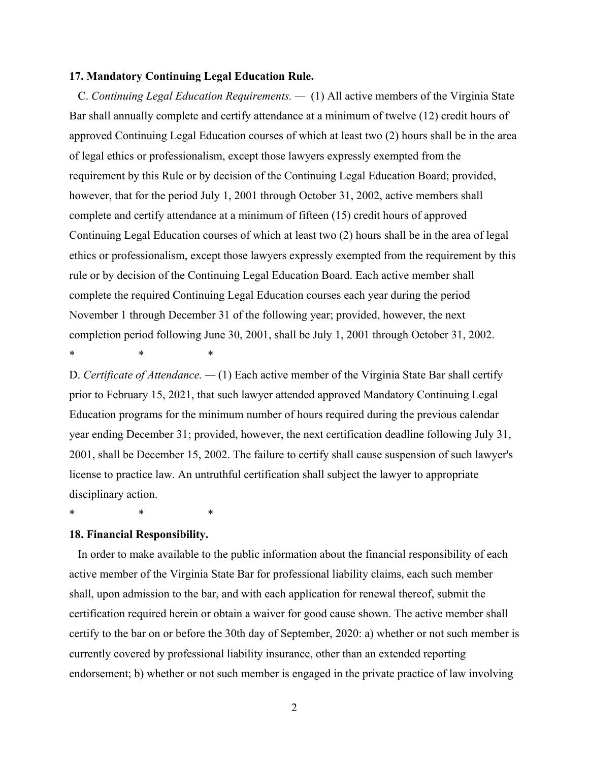#### **17. Mandatory Continuing Legal Education Rule.**

C. *Continuing Legal Education Requirements. —* (1) All active members of the Virginia State Bar shall annually complete and certify attendance at a minimum of twelve (12) credit hours of approved Continuing Legal Education courses of which at least two (2) hours shall be in the area of legal ethics or professionalism, except those lawyers expressly exempted from the requirement by this Rule or by decision of the Continuing Legal Education Board; provided, however, that for the period July 1, 2001 through October 31, 2002, active members shall complete and certify attendance at a minimum of fifteen (15) credit hours of approved Continuing Legal Education courses of which at least two (2) hours shall be in the area of legal ethics or professionalism, except those lawyers expressly exempted from the requirement by this rule or by decision of the Continuing Legal Education Board. Each active member shall complete the required Continuing Legal Education courses each year during the period November 1 through December 31 of the following year; provided, however, the next completion period following June 30, 2001, shall be July 1, 2001 through October 31, 2002. \* \* \*

D. *Certificate of Attendance. —* (1) Each active member of the Virginia State Bar shall certify prior to February 15, 2021, that such lawyer attended approved Mandatory Continuing Legal Education programs for the minimum number of hours required during the previous calendar year ending December 31; provided, however, the next certification deadline following July 31, 2001, shall be December 15, 2002. The failure to certify shall cause suspension of such lawyer's license to practice law. An untruthful certification shall subject the lawyer to appropriate disciplinary action.

\* \* \*

#### **18. Financial Responsibility.**

In order to make available to the public information about the financial responsibility of each active member of the Virginia State Bar for professional liability claims, each such member shall, upon admission to the bar, and with each application for renewal thereof, submit the certification required herein or obtain a waiver for good cause shown. The active member shall certify to the bar on or before the 30th day of September, 2020: a) whether or not such member is currently covered by professional liability insurance, other than an extended reporting endorsement; b) whether or not such member is engaged in the private practice of law involving

2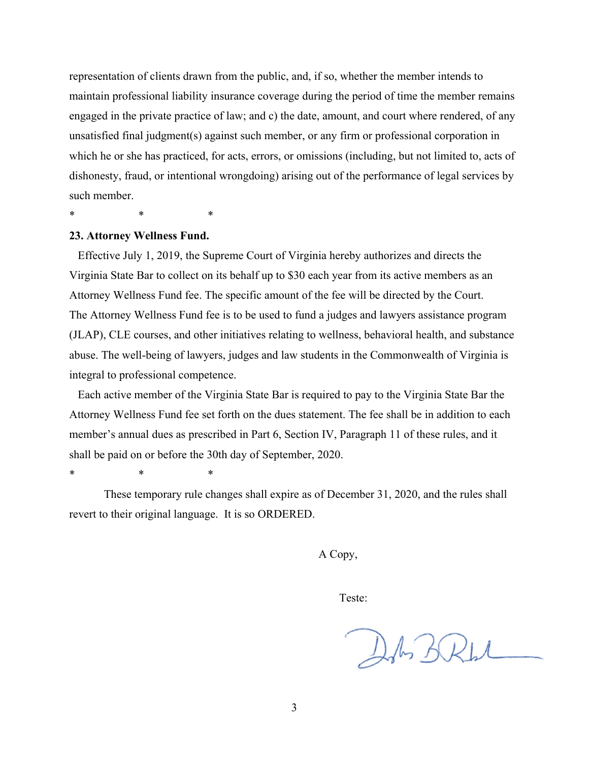representation of clients drawn from the public, and, if so, whether the member intends to maintain professional liability insurance coverage during the period of time the member remains engaged in the private practice of law; and c) the date, amount, and court where rendered, of any unsatisfied final judgment(s) against such member, or any firm or professional corporation in which he or she has practiced, for acts, errors, or omissions (including, but not limited to, acts of dishonesty, fraud, or intentional wrongdoing) arising out of the performance of legal services by such member.

\* \* \*

### **23. Attorney Wellness Fund.**

Effective July 1, 2019, the Supreme Court of Virginia hereby authorizes and directs the Virginia State Bar to collect on its behalf up to \$30 each year from its active members as an Attorney Wellness Fund fee. The specific amount of the fee will be directed by the Court. The Attorney Wellness Fund fee is to be used to fund a judges and lawyers assistance program (JLAP), CLE courses, and other initiatives relating to wellness, behavioral health, and substance abuse. The well-being of lawyers, judges and law students in the Commonwealth of Virginia is integral to professional competence.

Each active member of the Virginia State Bar is required to pay to the Virginia State Bar the Attorney Wellness Fund fee set forth on the dues statement. The fee shall be in addition to each member's annual dues as prescribed in Part 6, Section IV, Paragraph 11 of these rules, and it shall be paid on or before the 30th day of September, 2020.

\* \* \*

These temporary rule changes shall expire as of December 31, 2020, and the rules shall revert to their original language. It is so ORDERED.

A Copy,

Teste:

DA BRW